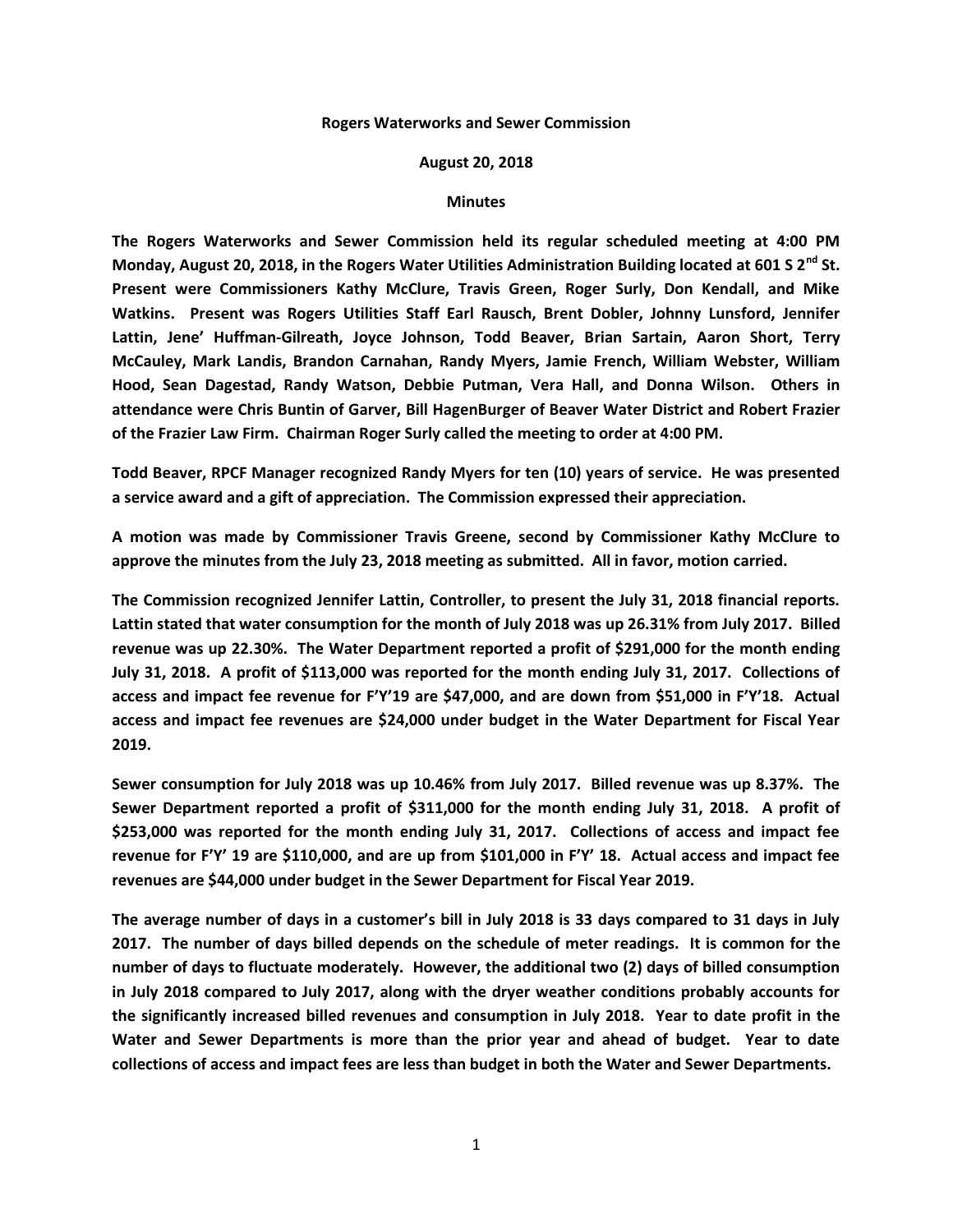## **Rogers Waterworks and Sewer Commission**

## **August 20, 2018**

## **Minutes**

**The Rogers Waterworks and Sewer Commission held its regular scheduled meeting at 4:00 PM Monday, August 20, 2018, in the Rogers Water Utilities Administration Building located at 601 S 2nd St. Present were Commissioners Kathy McClure, Travis Green, Roger Surly, Don Kendall, and Mike Watkins. Present was Rogers Utilities Staff Earl Rausch, Brent Dobler, Johnny Lunsford, Jennifer Lattin, Jene' Huffman-Gilreath, Joyce Johnson, Todd Beaver, Brian Sartain, Aaron Short, Terry McCauley, Mark Landis, Brandon Carnahan, Randy Myers, Jamie French, William Webster, William Hood, Sean Dagestad, Randy Watson, Debbie Putman, Vera Hall, and Donna Wilson. Others in attendance were Chris Buntin of Garver, Bill HagenBurger of Beaver Water District and Robert Frazier of the Frazier Law Firm. Chairman Roger Surly called the meeting to order at 4:00 PM.**

**Todd Beaver, RPCF Manager recognized Randy Myers for ten (10) years of service. He was presented a service award and a gift of appreciation. The Commission expressed their appreciation.**

**A motion was made by Commissioner Travis Greene, second by Commissioner Kathy McClure to approve the minutes from the July 23, 2018 meeting as submitted. All in favor, motion carried.**

**The Commission recognized Jennifer Lattin, Controller, to present the July 31, 2018 financial reports. Lattin stated that water consumption for the month of July 2018 was up 26.31% from July 2017. Billed revenue was up 22.30%. The Water Department reported a profit of \$291,000 for the month ending July 31, 2018. A profit of \$113,000 was reported for the month ending July 31, 2017. Collections of access and impact fee revenue for F'Y'19 are \$47,000, and are down from \$51,000 in F'Y'18. Actual access and impact fee revenues are \$24,000 under budget in the Water Department for Fiscal Year 2019.**

**Sewer consumption for July 2018 was up 10.46% from July 2017. Billed revenue was up 8.37%. The Sewer Department reported a profit of \$311,000 for the month ending July 31, 2018. A profit of \$253,000 was reported for the month ending July 31, 2017. Collections of access and impact fee revenue for F'Y' 19 are \$110,000, and are up from \$101,000 in F'Y' 18. Actual access and impact fee revenues are \$44,000 under budget in the Sewer Department for Fiscal Year 2019.**

**The average number of days in a customer's bill in July 2018 is 33 days compared to 31 days in July 2017. The number of days billed depends on the schedule of meter readings. It is common for the number of days to fluctuate moderately. However, the additional two (2) days of billed consumption in July 2018 compared to July 2017, along with the dryer weather conditions probably accounts for the significantly increased billed revenues and consumption in July 2018. Year to date profit in the Water and Sewer Departments is more than the prior year and ahead of budget. Year to date collections of access and impact fees are less than budget in both the Water and Sewer Departments.**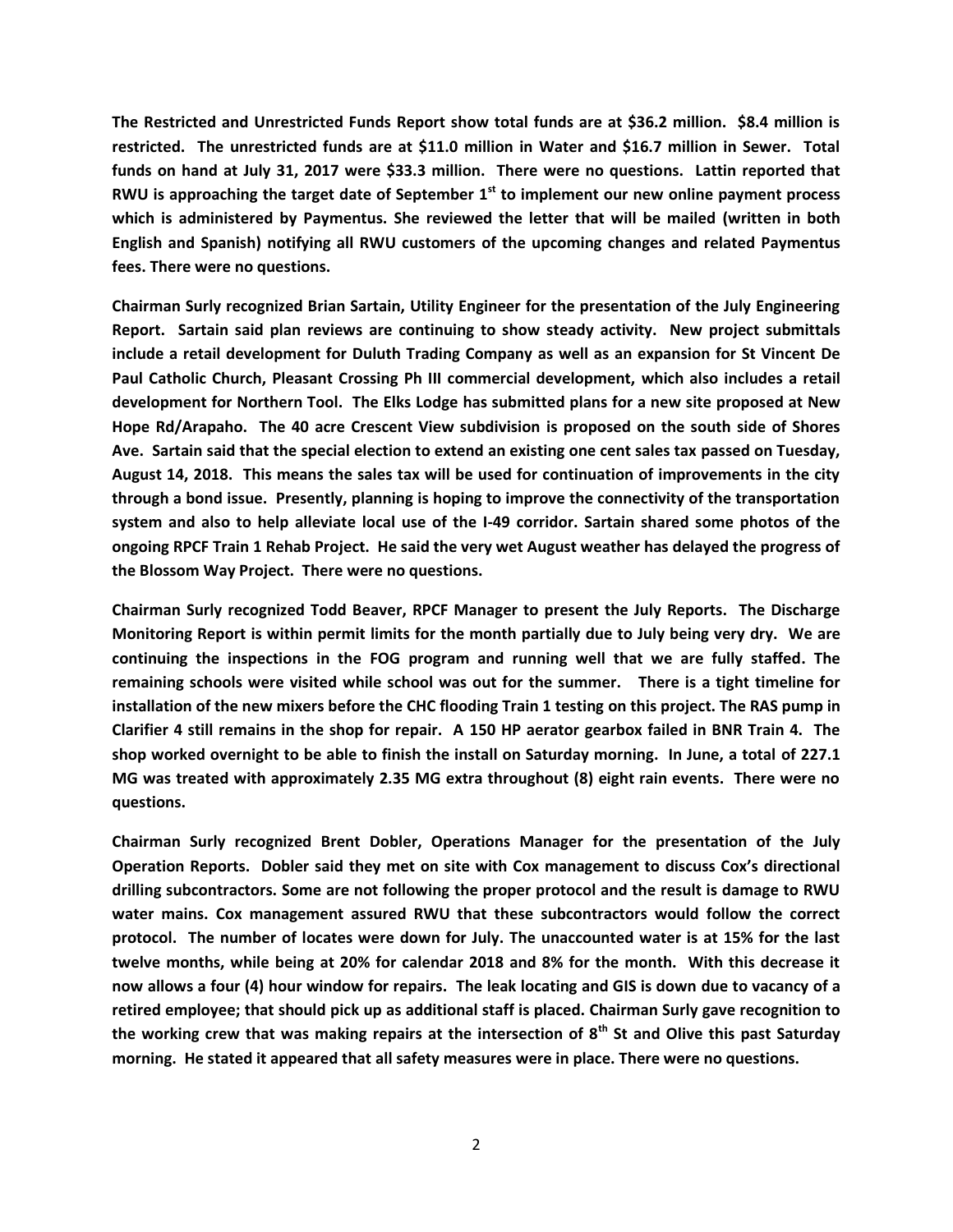**The Restricted and Unrestricted Funds Report show total funds are at \$36.2 million. \$8.4 million is restricted. The unrestricted funds are at \$11.0 million in Water and \$16.7 million in Sewer. Total funds on hand at July 31, 2017 were \$33.3 million. There were no questions. Lattin reported that RWU is approaching the target date of September 1st to implement our new online payment process which is administered by Paymentus. She reviewed the letter that will be mailed (written in both English and Spanish) notifying all RWU customers of the upcoming changes and related Paymentus fees. There were no questions.**

**Chairman Surly recognized Brian Sartain, Utility Engineer for the presentation of the July Engineering Report. Sartain said plan reviews are continuing to show steady activity. New project submittals include a retail development for Duluth Trading Company as well as an expansion for St Vincent De Paul Catholic Church, Pleasant Crossing Ph III commercial development, which also includes a retail development for Northern Tool. The Elks Lodge has submitted plans for a new site proposed at New Hope Rd/Arapaho. The 40 acre Crescent View subdivision is proposed on the south side of Shores Ave. Sartain said that the special election to extend an existing one cent sales tax passed on Tuesday, August 14, 2018. This means the sales tax will be used for continuation of improvements in the city through a bond issue. Presently, planning is hoping to improve the connectivity of the transportation system and also to help alleviate local use of the I-49 corridor. Sartain shared some photos of the ongoing RPCF Train 1 Rehab Project. He said the very wet August weather has delayed the progress of the Blossom Way Project. There were no questions.**

**Chairman Surly recognized Todd Beaver, RPCF Manager to present the July Reports. The Discharge Monitoring Report is within permit limits for the month partially due to July being very dry. We are continuing the inspections in the FOG program and running well that we are fully staffed. The remaining schools were visited while school was out for the summer. There is a tight timeline for installation of the new mixers before the CHC flooding Train 1 testing on this project. The RAS pump in Clarifier 4 still remains in the shop for repair. A 150 HP aerator gearbox failed in BNR Train 4. The shop worked overnight to be able to finish the install on Saturday morning. In June, a total of 227.1 MG was treated with approximately 2.35 MG extra throughout (8) eight rain events. There were no questions.**

**Chairman Surly recognized Brent Dobler, Operations Manager for the presentation of the July Operation Reports. Dobler said they met on site with Cox management to discuss Cox's directional drilling subcontractors. Some are not following the proper protocol and the result is damage to RWU water mains. Cox management assured RWU that these subcontractors would follow the correct protocol. The number of locates were down for July. The unaccounted water is at 15% for the last twelve months, while being at 20% for calendar 2018 and 8% for the month. With this decrease it now allows a four (4) hour window for repairs. The leak locating and GIS is down due to vacancy of a retired employee; that should pick up as additional staff is placed. Chairman Surly gave recognition to the working crew that was making repairs at the intersection of 8th St and Olive this past Saturday morning. He stated it appeared that all safety measures were in place. There were no questions.**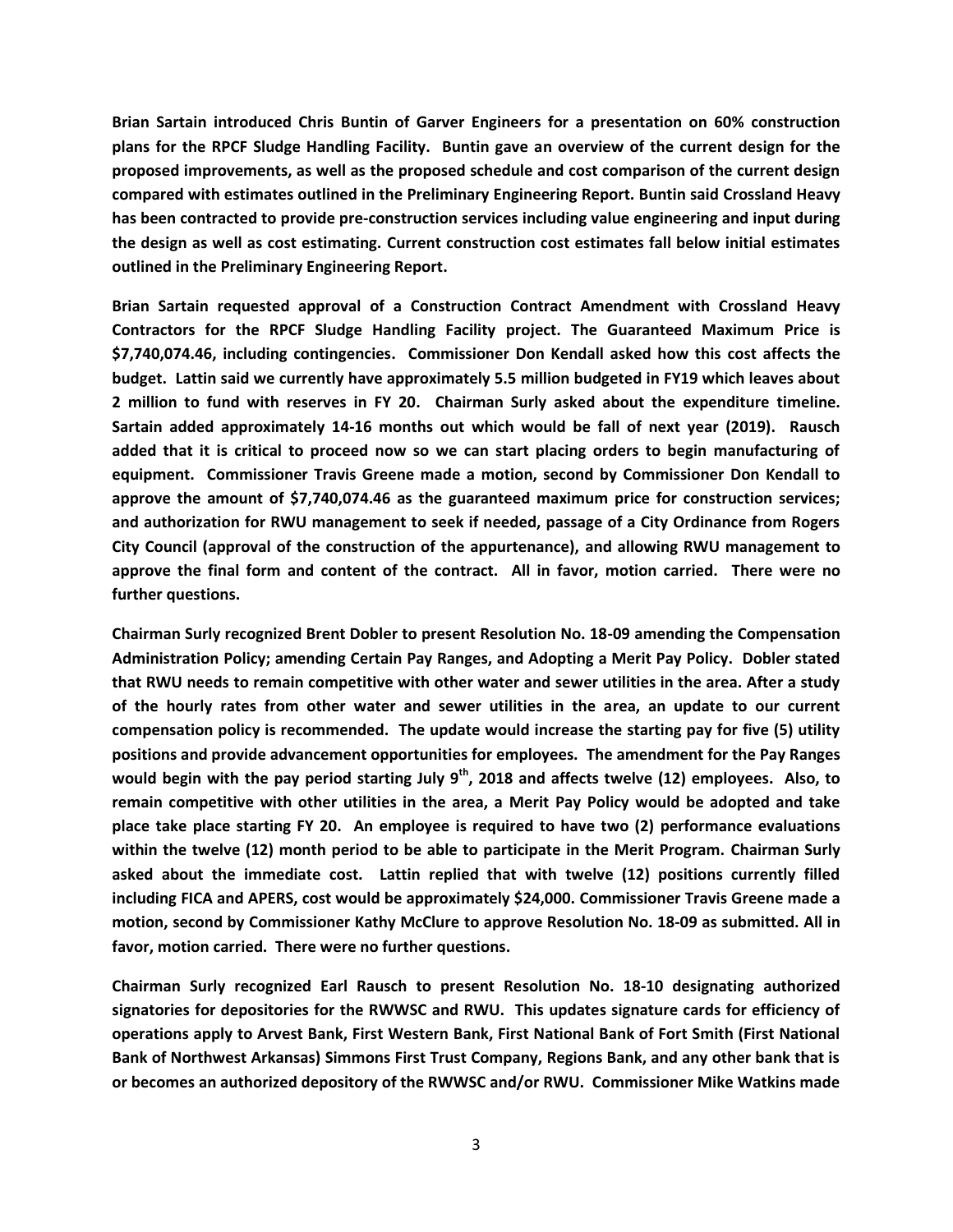**Brian Sartain introduced Chris Buntin of Garver Engineers for a presentation on 60% construction plans for the RPCF Sludge Handling Facility. Buntin gave an overview of the current design for the proposed improvements, as well as the proposed schedule and cost comparison of the current design compared with estimates outlined in the Preliminary Engineering Report. Buntin said Crossland Heavy has been contracted to provide pre-construction services including value engineering and input during the design as well as cost estimating. Current construction cost estimates fall below initial estimates outlined in the Preliminary Engineering Report.**

**Brian Sartain requested approval of a Construction Contract Amendment with Crossland Heavy Contractors for the RPCF Sludge Handling Facility project. The Guaranteed Maximum Price is \$7,740,074.46, including contingencies. Commissioner Don Kendall asked how this cost affects the budget. Lattin said we currently have approximately 5.5 million budgeted in FY19 which leaves about 2 million to fund with reserves in FY 20. Chairman Surly asked about the expenditure timeline. Sartain added approximately 14-16 months out which would be fall of next year (2019). Rausch added that it is critical to proceed now so we can start placing orders to begin manufacturing of equipment. Commissioner Travis Greene made a motion, second by Commissioner Don Kendall to approve the amount of \$7,740,074.46 as the guaranteed maximum price for construction services; and authorization for RWU management to seek if needed, passage of a City Ordinance from Rogers City Council (approval of the construction of the appurtenance), and allowing RWU management to approve the final form and content of the contract. All in favor, motion carried. There were no further questions.**

**Chairman Surly recognized Brent Dobler to present Resolution No. 18-09 amending the Compensation Administration Policy; amending Certain Pay Ranges, and Adopting a Merit Pay Policy. Dobler stated that RWU needs to remain competitive with other water and sewer utilities in the area. After a study of the hourly rates from other water and sewer utilities in the area, an update to our current compensation policy is recommended. The update would increase the starting pay for five (5) utility positions and provide advancement opportunities for employees. The amendment for the Pay Ranges would begin with the pay period starting July 9th, 2018 and affects twelve (12) employees. Also, to remain competitive with other utilities in the area, a Merit Pay Policy would be adopted and take place take place starting FY 20. An employee is required to have two (2) performance evaluations within the twelve (12) month period to be able to participate in the Merit Program. Chairman Surly asked about the immediate cost. Lattin replied that with twelve (12) positions currently filled including FICA and APERS, cost would be approximately \$24,000. Commissioner Travis Greene made a motion, second by Commissioner Kathy McClure to approve Resolution No. 18-09 as submitted. All in favor, motion carried. There were no further questions.**

**Chairman Surly recognized Earl Rausch to present Resolution No. 18-10 designating authorized signatories for depositories for the RWWSC and RWU. This updates signature cards for efficiency of operations apply to Arvest Bank, First Western Bank, First National Bank of Fort Smith (First National Bank of Northwest Arkansas) Simmons First Trust Company, Regions Bank, and any other bank that is or becomes an authorized depository of the RWWSC and/or RWU. Commissioner Mike Watkins made**